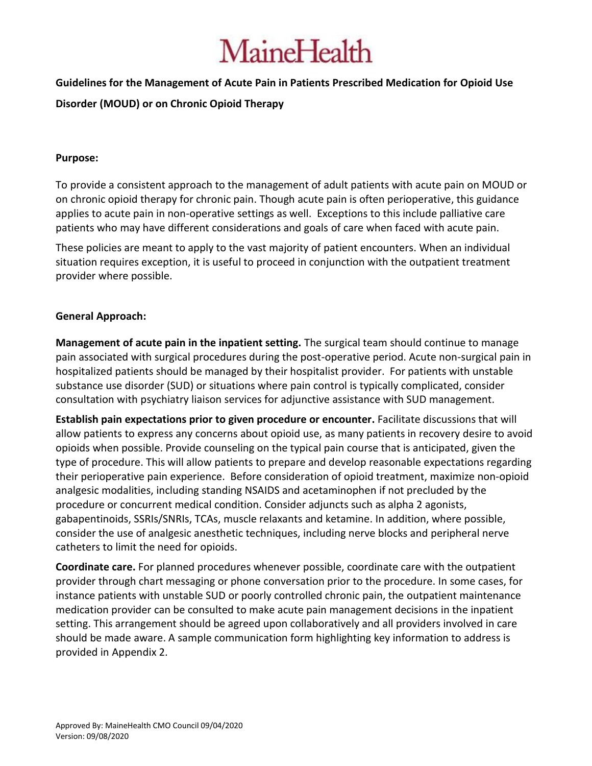### **Guidelines for the Management of Acute Pain in Patients Prescribed Medication for Opioid Use**

### **Disorder (MOUD) or on Chronic Opioid Therapy**

### **Purpose:**

To provide a consistent approach to the management of adult patients with acute pain on MOUD or on chronic opioid therapy for chronic pain. Though acute pain is often perioperative, this guidance applies to acute pain in non-operative settings as well. Exceptions to this include palliative care patients who may have different considerations and goals of care when faced with acute pain.

These policies are meant to apply to the vast majority of patient encounters. When an individual situation requires exception, it is useful to proceed in conjunction with the outpatient treatment provider where possible.

### **General Approach:**

**Management of acute pain in the inpatient setting.** The surgical team should continue to manage pain associated with surgical procedures during the post-operative period. Acute non-surgical pain in hospitalized patients should be managed by their hospitalist provider. For patients with unstable substance use disorder (SUD) or situations where pain control is typically complicated, consider consultation with psychiatry liaison services for adjunctive assistance with SUD management.

**Establish pain expectations prior to given procedure or encounter.** Facilitate discussions that will allow patients to express any concerns about opioid use, as many patients in recovery desire to avoid opioids when possible. Provide counseling on the typical pain course that is anticipated, given the type of procedure. This will allow patients to prepare and develop reasonable expectations regarding their perioperative pain experience. Before consideration of opioid treatment, maximize non-opioid analgesic modalities, including standing NSAIDS and acetaminophen if not precluded by the procedure or concurrent medical condition. Consider adjuncts such as alpha 2 agonists, gabapentinoids, SSRIs/SNRIs, TCAs, muscle relaxants and ketamine. In addition, where possible, consider the use of analgesic anesthetic techniques, including nerve blocks and peripheral nerve catheters to limit the need for opioids.

**Coordinate care.** For planned procedures whenever possible, coordinate care with the outpatient provider through chart messaging or phone conversation prior to the procedure. In some cases, for instance patients with unstable SUD or poorly controlled chronic pain, the outpatient maintenance medication provider can be consulted to make acute pain management decisions in the inpatient setting. This arrangement should be agreed upon collaboratively and all providers involved in care should be made aware. A sample communication form highlighting key information to address is provided in Appendix 2.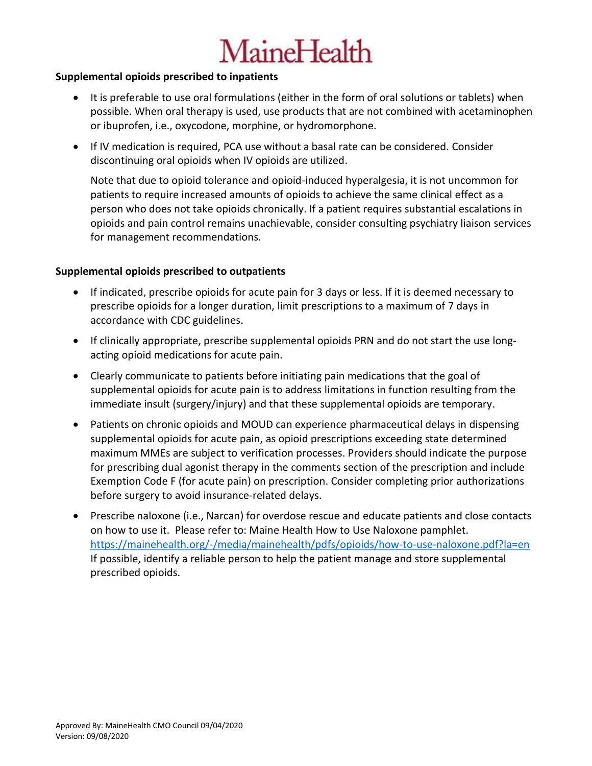### **Supplemental opioids prescribed to inpatients**

- It is preferable to use oral formulations (either in the form of oral solutions or tablets) when possible. When oral therapy is used, use products that are not combined with acetaminophen or ibuprofen, i.e., oxycodone, morphine, or hydromorphone.
- If IV medication is required, PCA use without a basal rate can be considered. Consider discontinuing oral opioids when IV opioids are utilized.

Note that due to opioid tolerance and opioid-induced hyperalgesia, it is not uncommon for patients to require increased amounts of opioids to achieve the same clinical effect as a person who does not take opioids chronically. If a patient requires substantial escalations in opioids and pain control remains unachievable, consider consulting psychiatry liaison services for management recommendations.

### **Supplemental opioids prescribed to outpatients**

- If indicated, prescribe opioids for acute pain for 3 days or less. If it is deemed necessary to prescribe opioids for a longer duration, limit prescriptions to a maximum of 7 days in accordance with CDC guidelines.
- If clinically appropriate, prescribe supplemental opioids PRN and do not start the use longacting opioid medications for acute pain.
- Clearly communicate to patients before initiating pain medications that the goal of supplemental opioids for acute pain is to address limitations in function resulting from the immediate insult (surgery/injury) and that these supplemental opioids are temporary.
- Patients on chronic opioids and MOUD can experience pharmaceutical delays in dispensing supplemental opioids for acute pain, as opioid prescriptions exceeding state determined maximum MMEs are subject to verification processes. Providers should indicate the purpose for prescribing dual agonist therapy in the comments section of the prescription and include Exemption Code F (for acute pain) on prescription. Consider completing prior authorizations before surgery to avoid insurance-related delays.
- Prescribe naloxone (i.e., Narcan) for overdose rescue and educate patients and close contacts on how to use it. Please refer to: Maine Health How to Use Naloxone pamphlet. <https://mainehealth.org/-/media/mainehealth/pdfs/opioids/how-to-use-naloxone.pdf?la=en> If possible, identify a reliable person to help the patient manage and store supplemental prescribed opioids.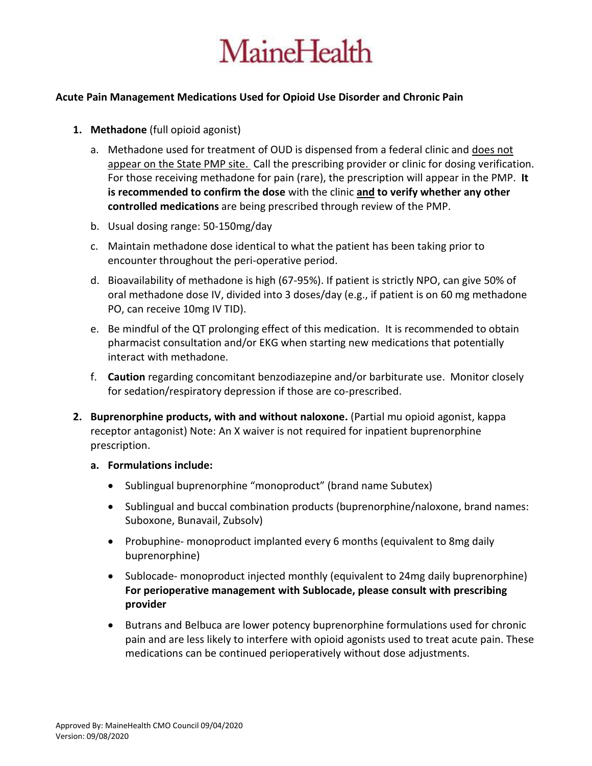

### **Acute Pain Management Medications Used for Opioid Use Disorder and Chronic Pain**

- **1. Methadone** (full opioid agonist)
	- a. Methadone used for treatment of OUD is dispensed from a federal clinic and does not appear on the State PMP site. Call the prescribing provider or clinic for dosing verification. For those receiving methadone for pain (rare), the prescription will appear in the PMP. **It is recommended to confirm the dose** with the clinic **and to verify whether any other controlled medications** are being prescribed through review of the PMP.
	- b. Usual dosing range: 50-150mg/day
	- c. Maintain methadone dose identical to what the patient has been taking prior to encounter throughout the peri-operative period.
	- d. Bioavailability of methadone is high (67-95%). If patient is strictly NPO, can give 50% of oral methadone dose IV, divided into 3 doses/day (e.g., if patient is on 60 mg methadone PO, can receive 10mg IV TID).
	- e. Be mindful of the QT prolonging effect of this medication. It is recommended to obtain pharmacist consultation and/or EKG when starting new medications that potentially interact with methadone.
	- f. **Caution** regarding concomitant benzodiazepine and/or barbiturate use. Monitor closely for sedation/respiratory depression if those are co-prescribed.
- **2. Buprenorphine products, with and without naloxone.** (Partial mu opioid agonist, kappa receptor antagonist) Note: An X waiver is not required for inpatient buprenorphine prescription.
	- **a. Formulations include:** 
		- Sublingual buprenorphine "monoproduct" (brand name Subutex)
		- Sublingual and buccal combination products (buprenorphine/naloxone, brand names: Suboxone, Bunavail, Zubsolv)
		- Probuphine- monoproduct implanted every 6 months (equivalent to 8mg daily buprenorphine)
		- Sublocade- monoproduct injected monthly (equivalent to 24mg daily buprenorphine) **For perioperative management with Sublocade, please consult with prescribing provider**
		- Butrans and Belbuca are lower potency buprenorphine formulations used for chronic pain and are less likely to interfere with opioid agonists used to treat acute pain. These medications can be continued perioperatively without dose adjustments.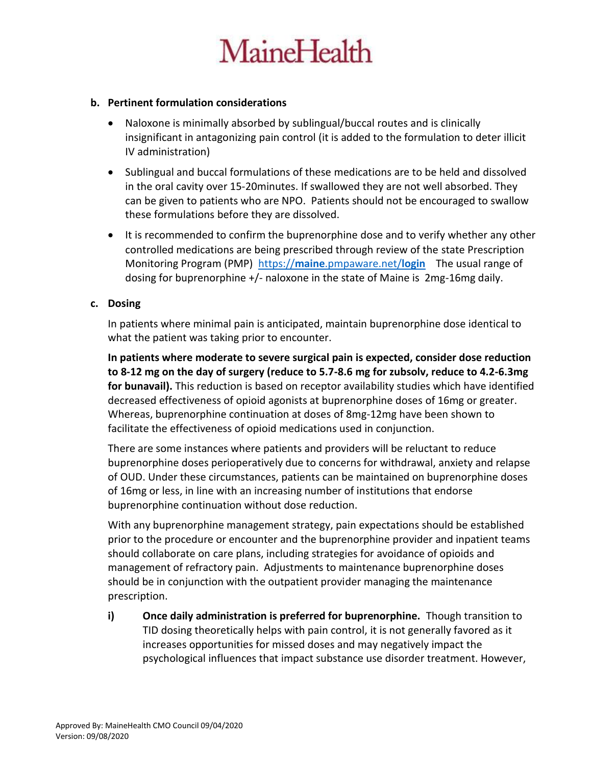### **b. Pertinent formulation considerations**

- Naloxone is minimally absorbed by sublingual/buccal routes and is clinically insignificant in antagonizing pain control (it is added to the formulation to deter illicit IV administration)
- Sublingual and buccal formulations of these medications are to be held and dissolved in the oral cavity over 15-20minutes. If swallowed they are not well absorbed. They can be given to patients who are NPO. Patients should not be encouraged to swallow these formulations before they are dissolved.
- It is recommended to confirm the buprenorphine dose and to verify whether any other controlled medications are being prescribed through review of the state Prescription Monitoring Program (PMP) https://**maine**[.pmpaware.net/](https://maine.pmpaware.net/login)**login** The usual range of dosing for buprenorphine +/- naloxone in the state of Maine is 2mg-16mg daily.

### **c. Dosing**

In patients where minimal pain is anticipated, maintain buprenorphine dose identical to what the patient was taking prior to encounter.

**In patients where moderate to severe surgical pain is expected, consider dose reduction to 8-12 mg on the day of surgery (reduce to 5.7-8.6 mg for zubsolv, reduce to 4.2-6.3mg for bunavail).** This reduction is based on receptor availability studies which have identified decreased effectiveness of opioid agonists at buprenorphine doses of 16mg or greater. Whereas, buprenorphine continuation at doses of 8mg-12mg have been shown to facilitate the effectiveness of opioid medications used in conjunction.

There are some instances where patients and providers will be reluctant to reduce buprenorphine doses perioperatively due to concerns for withdrawal, anxiety and relapse of OUD. Under these circumstances, patients can be maintained on buprenorphine doses of 16mg or less, in line with an increasing number of institutions that endorse buprenorphine continuation without dose reduction.

With any buprenorphine management strategy, pain expectations should be established prior to the procedure or encounter and the buprenorphine provider and inpatient teams should collaborate on care plans, including strategies for avoidance of opioids and management of refractory pain. Adjustments to maintenance buprenorphine doses should be in conjunction with the outpatient provider managing the maintenance prescription.

**i) Once daily administration is preferred for buprenorphine.** Though transition to TID dosing theoretically helps with pain control, it is not generally favored as it increases opportunities for missed doses and may negatively impact the psychological influences that impact substance use disorder treatment. However,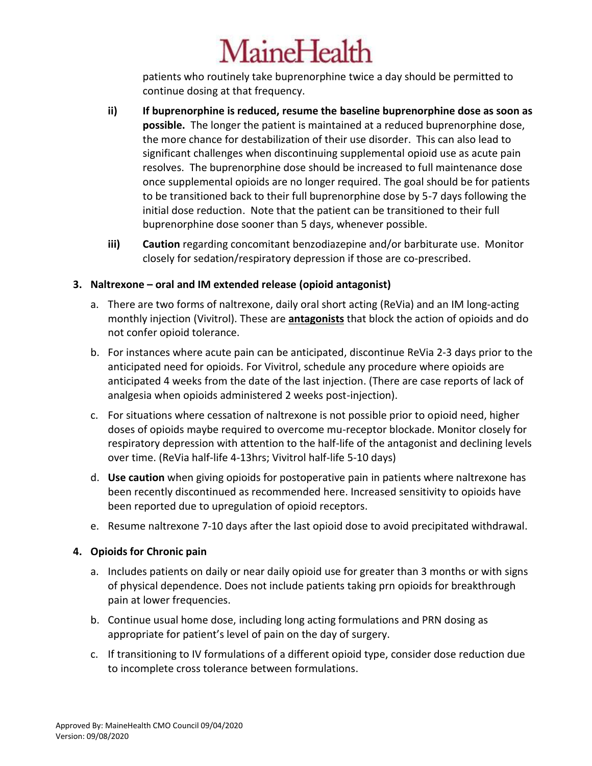patients who routinely take buprenorphine twice a day should be permitted to continue dosing at that frequency.

- **ii) If buprenorphine is reduced, resume the baseline buprenorphine dose as soon as possible.** The longer the patient is maintained at a reduced buprenorphine dose, the more chance for destabilization of their use disorder. This can also lead to significant challenges when discontinuing supplemental opioid use as acute pain resolves. The buprenorphine dose should be increased to full maintenance dose once supplemental opioids are no longer required. The goal should be for patients to be transitioned back to their full buprenorphine dose by 5-7 days following the initial dose reduction. Note that the patient can be transitioned to their full buprenorphine dose sooner than 5 days, whenever possible.
- **iii) Caution** regarding concomitant benzodiazepine and/or barbiturate use. Monitor closely for sedation/respiratory depression if those are co-prescribed.

### **3. Naltrexone – oral and IM extended release (opioid antagonist)**

- a. There are two forms of naltrexone, daily oral short acting (ReVia) and an IM long-acting monthly injection (Vivitrol). These are **antagonists** that block the action of opioids and do not confer opioid tolerance.
- b. For instances where acute pain can be anticipated, discontinue ReVia 2-3 days prior to the anticipated need for opioids. For Vivitrol, schedule any procedure where opioids are anticipated 4 weeks from the date of the last injection. (There are case reports of lack of analgesia when opioids administered 2 weeks post-injection).
- c. For situations where cessation of naltrexone is not possible prior to opioid need, higher doses of opioids maybe required to overcome mu-receptor blockade. Monitor closely for respiratory depression with attention to the half-life of the antagonist and declining levels over time. (ReVia half-life 4-13hrs; Vivitrol half-life 5-10 days)
- d. **Use caution** when giving opioids for postoperative pain in patients where naltrexone has been recently discontinued as recommended here. Increased sensitivity to opioids have been reported due to upregulation of opioid receptors.
- e. Resume naltrexone 7-10 days after the last opioid dose to avoid precipitated withdrawal.

### **4. Opioids for Chronic pain**

- a. Includes patients on daily or near daily opioid use for greater than 3 months or with signs of physical dependence. Does not include patients taking prn opioids for breakthrough pain at lower frequencies.
- b. Continue usual home dose, including long acting formulations and PRN dosing as appropriate for patient's level of pain on the day of surgery.
- c. If transitioning to IV formulations of a different opioid type, consider dose reduction due to incomplete cross tolerance between formulations.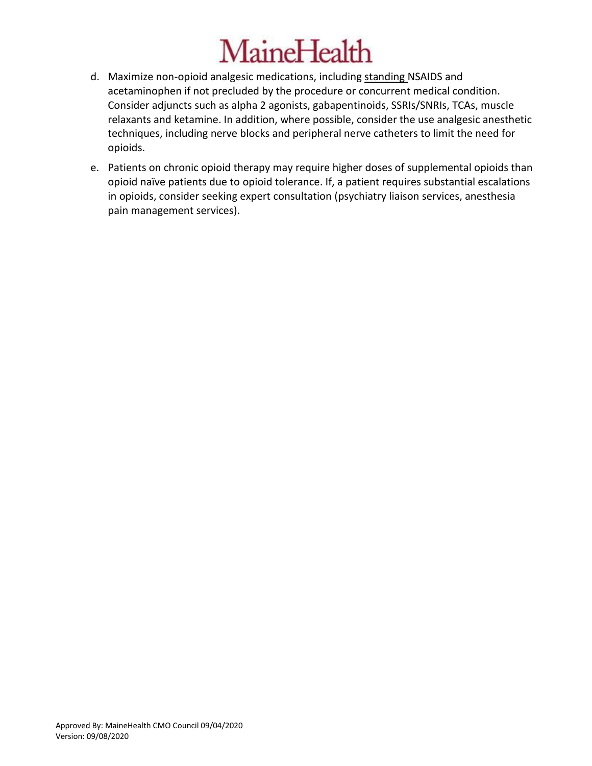- d. Maximize non-opioid analgesic medications, including standing NSAIDS and acetaminophen if not precluded by the procedure or concurrent medical condition. Consider adjuncts such as alpha 2 agonists, gabapentinoids, SSRIs/SNRIs, TCAs, muscle relaxants and ketamine. In addition, where possible, consider the use analgesic anesthetic techniques, including nerve blocks and peripheral nerve catheters to limit the need for opioids.
- e. Patients on chronic opioid therapy may require higher doses of supplemental opioids than opioid naïve patients due to opioid tolerance. If, a patient requires substantial escalations in opioids, consider seeking expert consultation (psychiatry liaison services, anesthesia pain management services).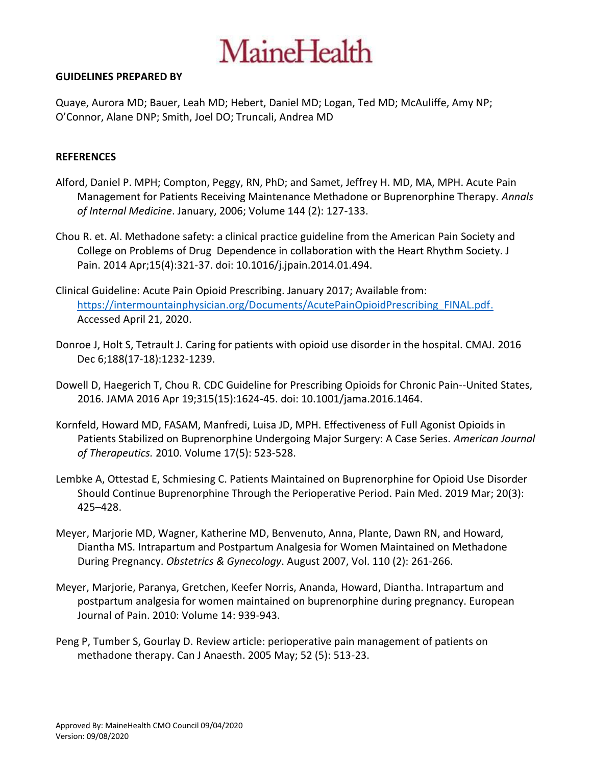#### **GUIDELINES PREPARED BY**

Quaye, Aurora MD; Bauer, Leah MD; Hebert, Daniel MD; Logan, Ted MD; McAuliffe, Amy NP; O'Connor, Alane DNP; Smith, Joel DO; Truncali, Andrea MD

#### **REFERENCES**

- Alford, Daniel P. MPH; Compton, Peggy, RN, PhD; and Samet, Jeffrey H. MD, MA, MPH. Acute Pain Management for Patients Receiving Maintenance Methadone or Buprenorphine Therapy. *Annals of Internal Medicine*. January, 2006; Volume 144 (2): 127-133.
- Chou R. et. Al. Methadone safety: a clinical practice guideline from the American Pain Society and College on Problems of Drug Dependence in collaboration with the Heart Rhythm Society. J Pain. 2014 Apr;15(4):321-37. doi: 10.1016/j.jpain.2014.01.494.
- Clinical Guideline: Acute Pain Opioid Prescribing. January 2017; Available from: [https://intermountainphysician.org/Documents/AcutePainOpioidPrescribing\\_FINAL.pdf.](https://intermountainphysician.org/Documents/AcutePainOpioidPrescribing_FINAL.pdf) Accessed April 21, 2020.
- Donroe J, Holt S, Tetrault J. Caring for patients with opioid use disorder in the hospital. CMAJ. 2016 Dec 6;188(17-18):1232-1239.
- Dowell D, Haegerich T, Chou R. CDC Guideline for Prescribing Opioids for Chronic Pain--United States, 2016. JAMA 2016 Apr 19;315(15):1624-45. doi: 10.1001/jama.2016.1464.
- Kornfeld, Howard MD, FASAM, Manfredi, Luisa JD, MPH. Effectiveness of Full Agonist Opioids in Patients Stabilized on Buprenorphine Undergoing Major Surgery: A Case Series. *American Journal of Therapeutics.* 2010. Volume 17(5): 523-528.
- Lembke A, Ottestad E, Schmiesing C. Patients Maintained on Buprenorphine for Opioid Use Disorder Should Continue Buprenorphine Through the Perioperative Period. Pain Med. 2019 Mar; 20(3): 425–428.
- Meyer, Marjorie MD, Wagner, Katherine MD, Benvenuto, Anna, Plante, Dawn RN, and Howard, Diantha MS. Intrapartum and Postpartum Analgesia for Women Maintained on Methadone During Pregnancy. *Obstetrics & Gynecology*. August 2007, Vol. 110 (2): 261-266.
- Meyer, Marjorie, Paranya, Gretchen, Keefer Norris, Ananda, Howard, Diantha. Intrapartum and postpartum analgesia for women maintained on buprenorphine during pregnancy. European Journal of Pain. 2010: Volume 14: 939-943.
- Peng P, Tumber S, Gourlay D. Review article: perioperative pain management of patients on methadone therapy. Can J Anaesth. 2005 May; 52 (5): 513-23.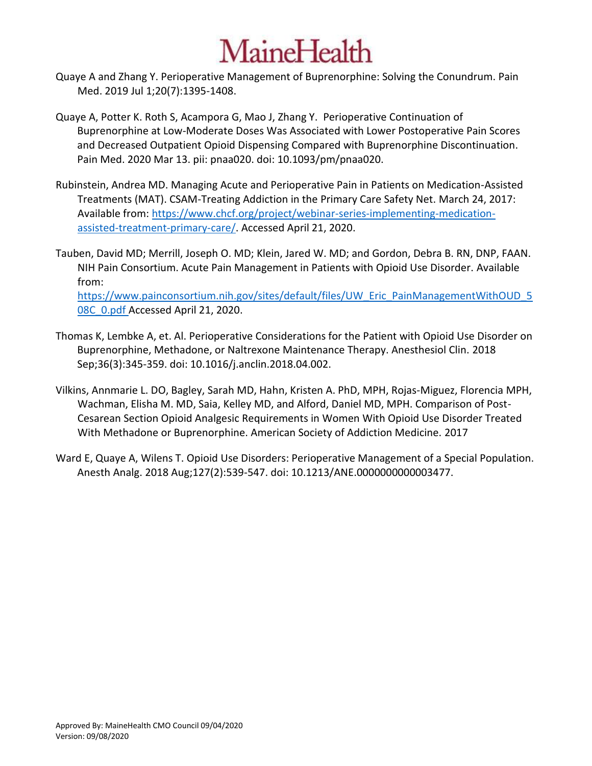- Quaye A and Zhang Y. Perioperative Management of Buprenorphine: Solving the Conundrum. Pain Med. 2019 Jul 1;20(7):1395-1408.
- Quaye A, Potter K. Roth S, Acampora G, Mao J, Zhang Y. Perioperative Continuation of Buprenorphine at Low-Moderate Doses Was Associated with Lower Postoperative Pain Scores and Decreased Outpatient Opioid Dispensing Compared with Buprenorphine Discontinuation. Pain Med. 2020 Mar 13. pii: pnaa020. doi: 10.1093/pm/pnaa020.
- Rubinstein, Andrea MD. Managing Acute and Perioperative Pain in Patients on Medication-Assisted Treatments (MAT). CSAM-Treating Addiction in the Primary Care Safety Net. March 24, 2017: Available from: [https://www.chcf.org/project/webinar-series-implementing-medication](https://www.chcf.org/project/webinar-series-implementing-medication-assisted-treatment-primary-care/)[assisted-treatment-primary-care/.](https://www.chcf.org/project/webinar-series-implementing-medication-assisted-treatment-primary-care/) Accessed April 21, 2020.

Tauben, David MD; Merrill, Joseph O. MD; Klein, Jared W. MD; and Gordon, Debra B. RN, DNP, FAAN. NIH Pain Consortium. Acute Pain Management in Patients with Opioid Use Disorder. Available from: [https://www.painconsortium.nih.gov/sites/default/files/UW\\_Eric\\_PainManagementWithOUD\\_5](https://www.painconsortium.nih.gov/sites/default/files/UW_Eric_PainManagementWithOUD_508C_0.pdf) [08C\\_0.pdf](https://www.painconsortium.nih.gov/sites/default/files/UW_Eric_PainManagementWithOUD_508C_0.pdf) Accessed April 21, 2020.

- Thomas K, Lembke A, et. Al. Perioperative Considerations for the Patient with Opioid Use Disorder on Buprenorphine, Methadone, or Naltrexone Maintenance Therapy. Anesthesiol Clin. 2018 Sep;36(3):345-359. doi: 10.1016/j.anclin.2018.04.002.
- Vilkins, Annmarie L. DO, Bagley, Sarah MD, Hahn, Kristen A. PhD, MPH, Rojas-Miguez, Florencia MPH, Wachman, Elisha M. MD, Saia, Kelley MD, and Alford, Daniel MD, MPH. Comparison of Post-Cesarean Section Opioid Analgesic Requirements in Women With Opioid Use Disorder Treated With Methadone or Buprenorphine. American Society of Addiction Medicine. 2017
- Ward E, Quaye A, Wilens T. Opioid Use Disorders: Perioperative Management of a Special Population. Anesth Analg. 2018 Aug;127(2):539-547. doi: 10.1213/ANE.0000000000003477.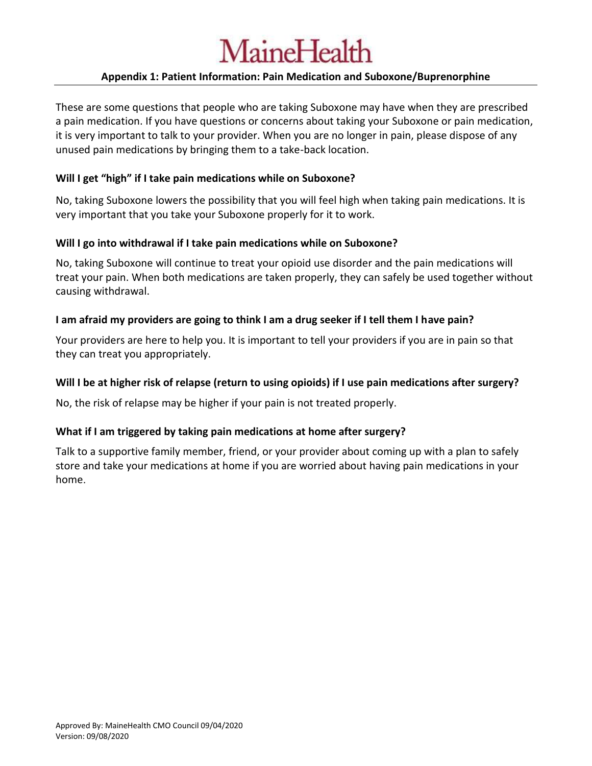### **Appendix 1: Patient Information: Pain Medication and Suboxone/Buprenorphine**

These are some questions that people who are taking Suboxone may have when they are prescribed a pain medication. If you have questions or concerns about taking your Suboxone or pain medication, it is very important to talk to your provider. When you are no longer in pain, please dispose of any unused pain medications by bringing them to a take-back location.

### **Will I get "high" if I take pain medications while on Suboxone?**

No, taking Suboxone lowers the possibility that you will feel high when taking pain medications. It is very important that you take your Suboxone properly for it to work.

### **Will I go into withdrawal if I take pain medications while on Suboxone?**

No, taking Suboxone will continue to treat your opioid use disorder and the pain medications will treat your pain. When both medications are taken properly, they can safely be used together without causing withdrawal.

### **I am afraid my providers are going to think I am a drug seeker if I tell them I have pain?**

Your providers are here to help you. It is important to tell your providers if you are in pain so that they can treat you appropriately.

### **Will I be at higher risk of relapse (return to using opioids) if I use pain medications after surgery?**

No, the risk of relapse may be higher if your pain is not treated properly.

### **What if I am triggered by taking pain medications at home after surgery?**

Talk to a supportive family member, friend, or your provider about coming up with a plan to safely store and take your medications at home if you are worried about having pain medications in your home.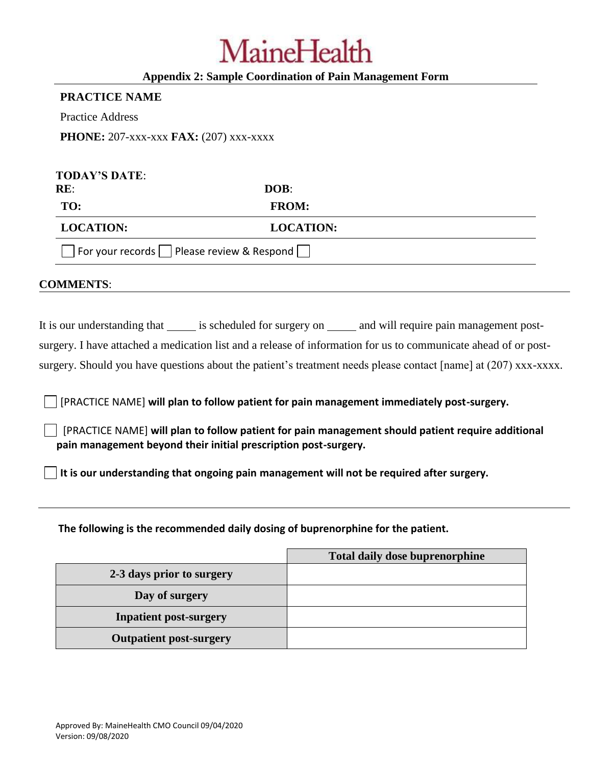### **Appendix 2: Sample Coordination of Pain Management Form**

#### **PRACTICE NAME**

Practice Address

**PHONE:** 207-xxx-xxx **FAX:** (207) xxx-xxxx

| <b>TODAY'S DATE:</b><br>RE:                  | DOB:             |  |
|----------------------------------------------|------------------|--|
| TO:                                          | <b>FROM:</b>     |  |
| <b>LOCATION:</b>                             | <b>LOCATION:</b> |  |
| For your records     Please review & Respond |                  |  |

### **COMMENTS**:

It is our understanding that is scheduled for surgery on and will require pain management postsurgery. I have attached a medication list and a release of information for us to communicate ahead of or post-

surgery. Should you have questions about the patient's treatment needs please contact [name] at (207) xxx-xxxx.

[PRACTICE NAME] **will plan to follow patient for pain management immediately post-surgery.**

[PRACTICE NAME] **will plan to follow patient for pain management should patient require additional pain management beyond their initial prescription post-surgery.**

**It is our understanding that ongoing pain management will not be required after surgery.** 

**The following is the recommended daily dosing of buprenorphine for the patient.**

|                                | <b>Total daily dose buprenorphine</b> |
|--------------------------------|---------------------------------------|
| 2-3 days prior to surgery      |                                       |
| Day of surgery                 |                                       |
| <b>Inpatient post-surgery</b>  |                                       |
| <b>Outpatient post-surgery</b> |                                       |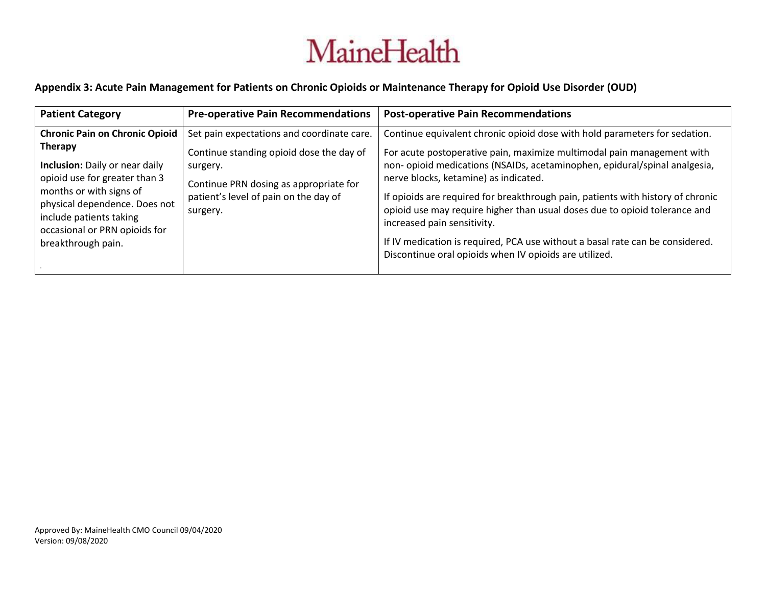### **Appendix 3: Acute Pain Management for Patients on Chronic Opioids or Maintenance Therapy for Opioid Use Disorder (OUD)**

| <b>Patient Category</b>                                                                                                                                                                                                                                                         | <b>Pre-operative Pain Recommendations</b>                                                                                                                                                         | <b>Post-operative Pain Recommendations</b>                                                                                                                                                                                                                                                                                                                                                                                                                                                                                                                                                                             |
|---------------------------------------------------------------------------------------------------------------------------------------------------------------------------------------------------------------------------------------------------------------------------------|---------------------------------------------------------------------------------------------------------------------------------------------------------------------------------------------------|------------------------------------------------------------------------------------------------------------------------------------------------------------------------------------------------------------------------------------------------------------------------------------------------------------------------------------------------------------------------------------------------------------------------------------------------------------------------------------------------------------------------------------------------------------------------------------------------------------------------|
| <b>Chronic Pain on Chronic Opioid</b><br><b>Therapy</b><br><b>Inclusion:</b> Daily or near daily<br>opioid use for greater than 3<br>months or with signs of<br>physical dependence. Does not<br>include patients taking<br>occasional or PRN opioids for<br>breakthrough pain. | Set pain expectations and coordinate care.<br>Continue standing opioid dose the day of<br>surgery.<br>Continue PRN dosing as appropriate for<br>patient's level of pain on the day of<br>surgery. | Continue equivalent chronic opioid dose with hold parameters for sedation.<br>For acute postoperative pain, maximize multimodal pain management with<br>non- opioid medications (NSAIDs, acetaminophen, epidural/spinal analgesia,<br>nerve blocks, ketamine) as indicated.<br>If opioids are required for breakthrough pain, patients with history of chronic<br>opioid use may require higher than usual doses due to opioid tolerance and<br>increased pain sensitivity.<br>If IV medication is required, PCA use without a basal rate can be considered.<br>Discontinue oral opioids when IV opioids are utilized. |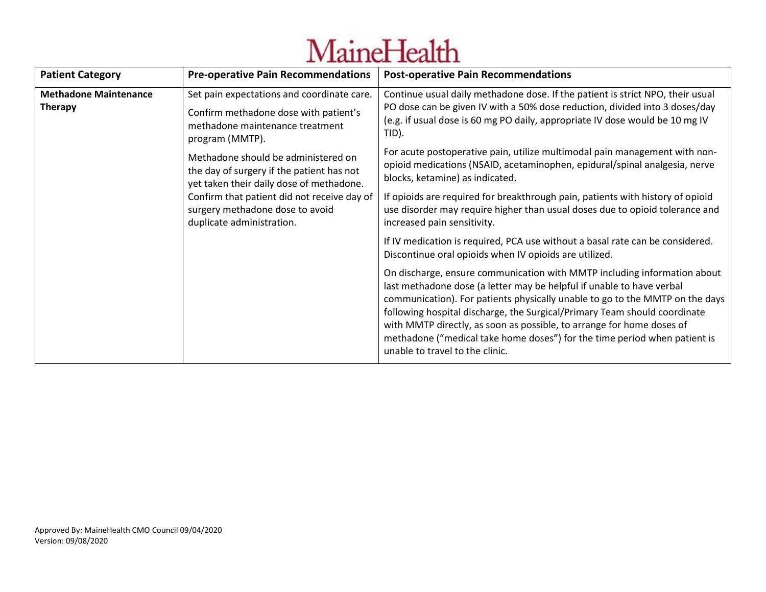| <b>Patient Category</b>                                                                                                                                                                                                                                                                                                                                                                                                                    | <b>Pre-operative Pain Recommendations</b>                                                                                                                                                                                                                                                                                                                                                                                                                                                                                                                                                                                                                                                                                               | <b>Post-operative Pain Recommendations</b>                                                                                                                                                                                                                                                                                                                                                                                                                                                                                                                        |
|--------------------------------------------------------------------------------------------------------------------------------------------------------------------------------------------------------------------------------------------------------------------------------------------------------------------------------------------------------------------------------------------------------------------------------------------|-----------------------------------------------------------------------------------------------------------------------------------------------------------------------------------------------------------------------------------------------------------------------------------------------------------------------------------------------------------------------------------------------------------------------------------------------------------------------------------------------------------------------------------------------------------------------------------------------------------------------------------------------------------------------------------------------------------------------------------------|-------------------------------------------------------------------------------------------------------------------------------------------------------------------------------------------------------------------------------------------------------------------------------------------------------------------------------------------------------------------------------------------------------------------------------------------------------------------------------------------------------------------------------------------------------------------|
| <b>Methadone Maintenance</b><br>Set pain expectations and coordinate care.<br><b>Therapy</b><br>Confirm methadone dose with patient's<br>methadone maintenance treatment<br>program (MMTP).<br>Methadone should be administered on<br>the day of surgery if the patient has not<br>yet taken their daily dose of methadone.<br>Confirm that patient did not receive day of<br>surgery methadone dose to avoid<br>duplicate administration. | Continue usual daily methadone dose. If the patient is strict NPO, their usual<br>PO dose can be given IV with a 50% dose reduction, divided into 3 doses/day<br>(e.g. if usual dose is 60 mg PO daily, appropriate IV dose would be 10 mg IV<br>TID).<br>For acute postoperative pain, utilize multimodal pain management with non-<br>opioid medications (NSAID, acetaminophen, epidural/spinal analgesia, nerve<br>blocks, ketamine) as indicated.<br>If opioids are required for breakthrough pain, patients with history of opioid<br>use disorder may require higher than usual doses due to opioid tolerance and<br>increased pain sensitivity.<br>If IV medication is required, PCA use without a basal rate can be considered. |                                                                                                                                                                                                                                                                                                                                                                                                                                                                                                                                                                   |
|                                                                                                                                                                                                                                                                                                                                                                                                                                            |                                                                                                                                                                                                                                                                                                                                                                                                                                                                                                                                                                                                                                                                                                                                         | Discontinue oral opioids when IV opioids are utilized.<br>On discharge, ensure communication with MMTP including information about<br>last methadone dose (a letter may be helpful if unable to have verbal<br>communication). For patients physically unable to go to the MMTP on the days<br>following hospital discharge, the Surgical/Primary Team should coordinate<br>with MMTP directly, as soon as possible, to arrange for home doses of<br>methadone ("medical take home doses") for the time period when patient is<br>unable to travel to the clinic. |